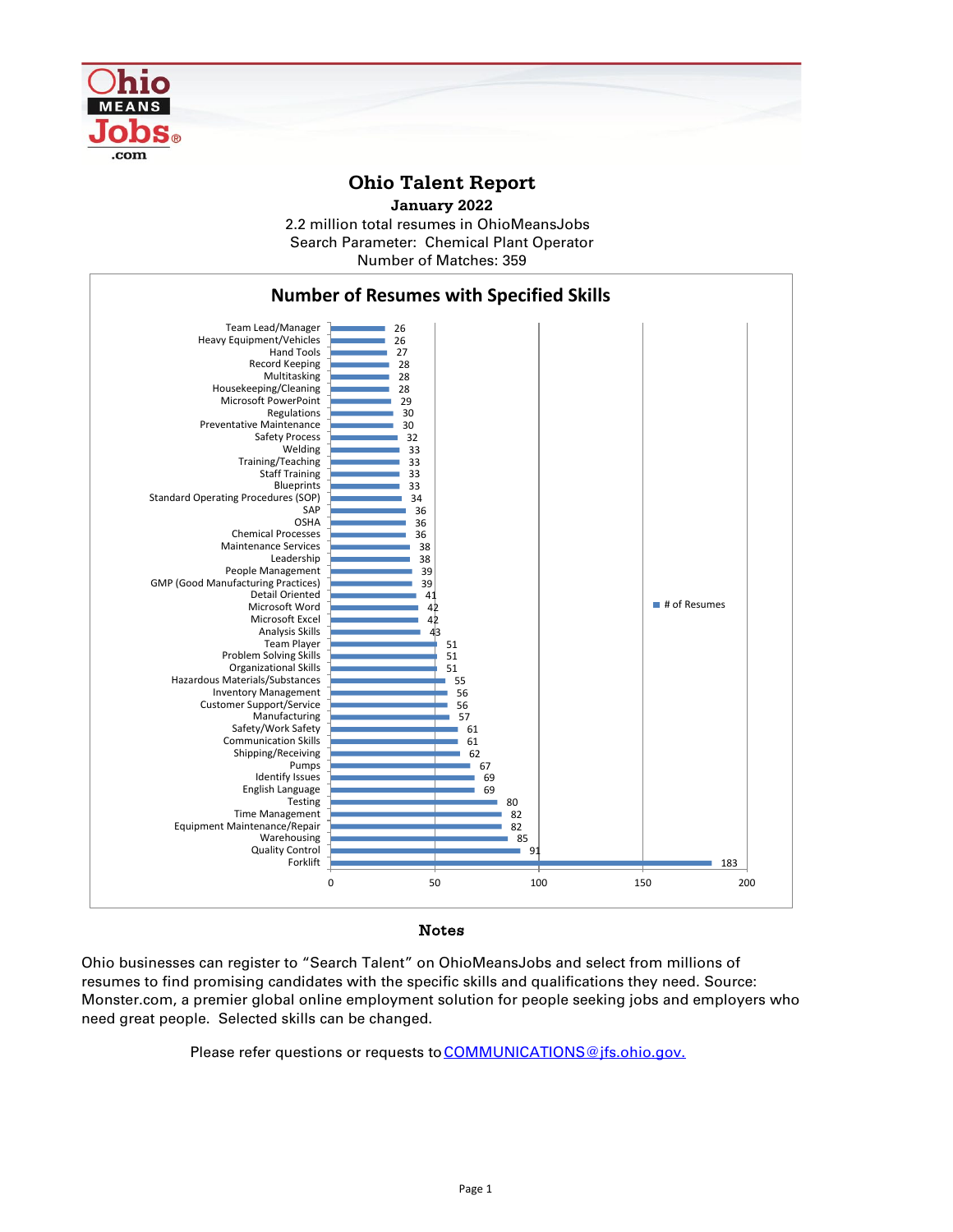

## **Ohio Talent Report**





## Notes

Ohio businesses can register to "Search Talent" on OhioMeansJobs and select from millions of resumes to find promising candidates with the specific skills and qualifications they need. Source: Monster.com, a premier global online employment solution for people seeking jobs and employers who need great people. Selected skills can be changed.

Please refer questions or requests to **COMMUNICATIONS**@jfs.ohio.gov.